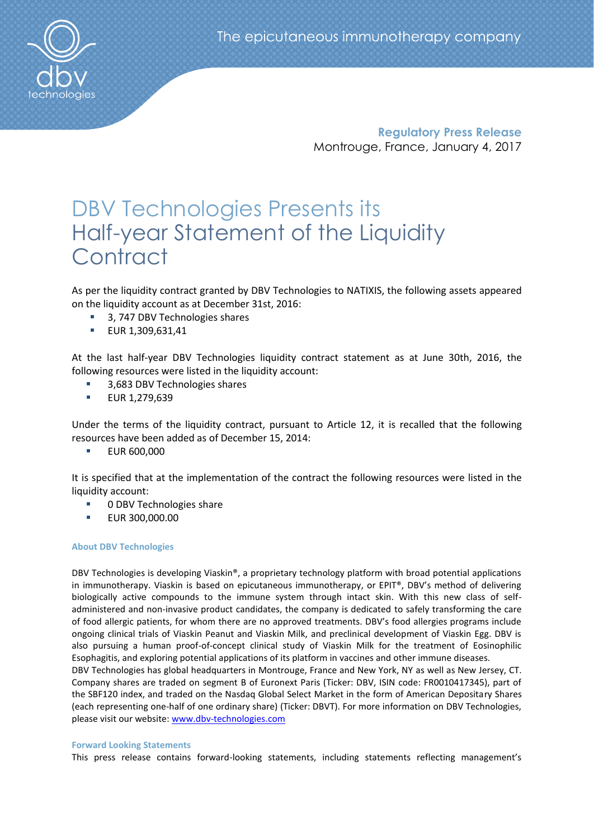**Regulatory Press Release** Montrouge, France, January 4, 2017

# DBV Technologies Presents its Half-year Statement of the Liquidity **Contract**

As per the liquidity contract granted by DBV Technologies to NATIXIS, the following assets appeared on the liquidity account as at December 31st, 2016:

- 3, 747 DBV Technologies shares
- **EUR 1,309,631,41**

At the last half-year DBV Technologies liquidity contract statement as at June 30th, 2016, the following resources were listed in the liquidity account:

- 3,683 DBV Technologies shares
- **EUR 1,279,639**

Under the terms of the liquidity contract, pursuant to Article 12, it is recalled that the following resources have been added as of December 15, 2014:

**EUR 600,000** 

It is specified that at the implementation of the contract the following resources were listed in the liquidity account:

- 0 DBV Technologies share
- EUR 300,000.00

# **About DBV Technologies**

DBV Technologies is developing Viaskin®, a proprietary technology platform with broad potential applications in immunotherapy. Viaskin is based on epicutaneous immunotherapy, or EPIT®, DBV's method of delivering biologically active compounds to the immune system through intact skin. With this new class of selfadministered and non-invasive product candidates, the company is dedicated to safely transforming the care of food allergic patients, for whom there are no approved treatments. DBV's food allergies programs include ongoing clinical trials of Viaskin Peanut and Viaskin Milk, and preclinical development of Viaskin Egg. DBV is also pursuing a human proof-of-concept clinical study of Viaskin Milk for the treatment of Eosinophilic Esophagitis, and exploring potential applications of its platform in vaccines and other immune diseases.

DBV Technologies has global headquarters in Montrouge, France and New York, NY as well as New Jersey, CT. Company shares are traded on segment B of Euronext Paris (Ticker: DBV, ISIN code: FR0010417345), part of the SBF120 index, and traded on the Nasdaq Global Select Market in the form of American Depositary Shares (each representing one-half of one ordinary share) (Ticker: DBVT). For more information on DBV Technologies, please visit our website: [www.dbv-technologies.com](http://www.dbv-technologies.com/)

# **Forward Looking Statements**

This press release contains forward-looking statements, including statements reflecting management's